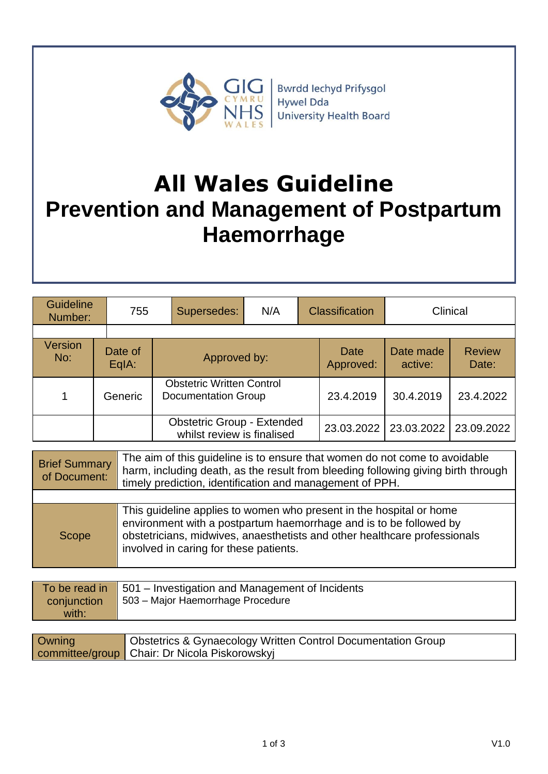

# **All Wales Guideline Prevention and Management of Postpartum Haemorrhage**

| <b>Guideline</b><br>Number: | 755              | Supersedes:                                                     | N/A | <b>Classification</b> |                   | Clinical             |                        |
|-----------------------------|------------------|-----------------------------------------------------------------|-----|-----------------------|-------------------|----------------------|------------------------|
| <b>Version</b><br>No:       | Date of<br>EqIA: | Approved by:                                                    |     |                       | Date<br>Approved: | Date made<br>active: | <b>Review</b><br>Date: |
| 1                           | Generic          | <b>Obstetric Written Control</b><br>Documentation Group         |     | 23.4.2019             | 30.4.2019         | 23.4.2022            |                        |
|                             |                  | <b>Obstetric Group - Extended</b><br>whilst review is finalised |     |                       | 23.03.2022        | 23.03.2022           | 23.09.2022             |

| <b>Brief Summary</b><br>of Document: | The aim of this guideline is to ensure that women do not come to avoidable<br>harm, including death, as the result from bleeding following giving birth through<br>timely prediction, identification and management of PPH.                                      |
|--------------------------------------|------------------------------------------------------------------------------------------------------------------------------------------------------------------------------------------------------------------------------------------------------------------|
|                                      |                                                                                                                                                                                                                                                                  |
| Scope                                | This guideline applies to women who present in the hospital or home<br>environment with a postpartum haemorrhage and is to be followed by<br>obstetricians, midwives, anaesthetists and other healthcare professionals<br>involved in caring for these patients. |

| $\overline{a}$ To be read in $\overline{a}$ 501 – Investigation and Management of Incidents<br>503 – Major Haemorrhage Procedure<br>conjunction<br>with: |
|----------------------------------------------------------------------------------------------------------------------------------------------------------|
|----------------------------------------------------------------------------------------------------------------------------------------------------------|

| Owning | <b>Obstetrics &amp; Gynaecology Written Control Documentation Group</b> |
|--------|-------------------------------------------------------------------------|
|        | committee/group   Chair: Dr Nicola Piskorowskyj                         |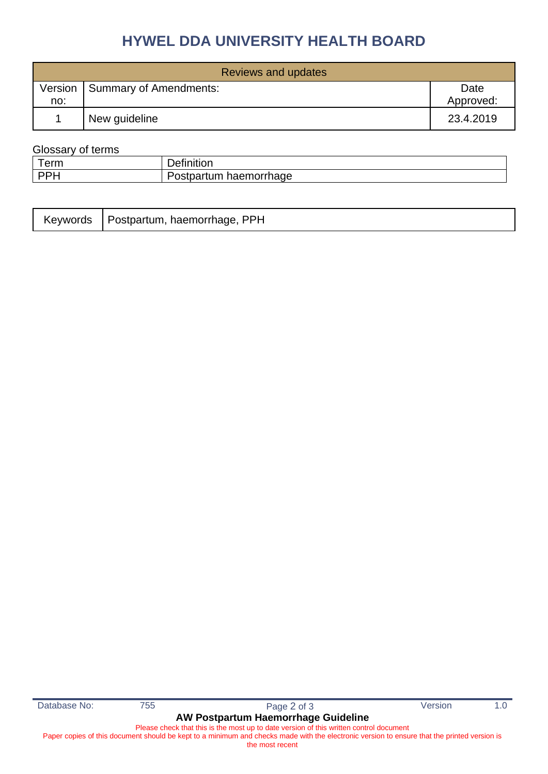# **HYWEL DDA UNIVERSITY HEALTH BOARD**

| Reviews and updates |                                  |                   |  |
|---------------------|----------------------------------|-------------------|--|
| no:                 | Version   Summary of Amendments: | Date<br>Approved: |  |
|                     | New guideline                    | 23.4.2019         |  |

## Glossary of terms

| $\rightarrow$<br>$ -$ |                        |
|-----------------------|------------------------|
| <b>DDI</b>            | م یہ مطعن<br>raer<br>. |

|  | Keywords   Postpartum, haemorrhage, PPH |  |
|--|-----------------------------------------|--|
|--|-----------------------------------------|--|